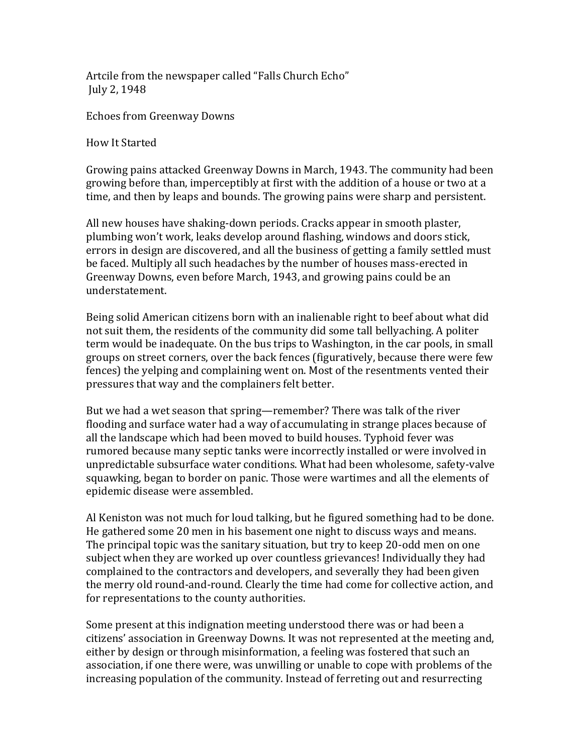Artcile from the newspaper called "Falls Church Echo" July 2, 1948

Echoes from Greenway Downs

How It Started

Growing pains attacked Greenway Downs in March, 1943. The community had been growing before than, imperceptibly at first with the addition of a house or two at a time, and then by leaps and bounds. The growing pains were sharp and persistent.

All new houses have shaking-down periods. Cracks appear in smooth plaster, plumbing won't work, leaks develop around flashing, windows and doors stick, errors in design are discovered, and all the business of getting a family settled must be faced. Multiply all such headaches by the number of houses mass-erected in Greenway Downs, even before March, 1943, and growing pains could be an understatement.

Being solid American citizens born with an inalienable right to beef about what did not suit them, the residents of the community did some tall bellyaching. A politer term would be inadequate. On the bus trips to Washington, in the car pools, in small groups on street corners, over the back fences (figuratively, because there were few fences) the yelping and complaining went on. Most of the resentments vented their pressures that way and the complainers felt better.

But we had a wet season that spring—remember? There was talk of the river flooding and surface water had a way of accumulating in strange places because of all the landscape which had been moved to build houses. Typhoid fever was rumored because many septic tanks were incorrectly installed or were involved in unpredictable subsurface water conditions. What had been wholesome, safety-valve squawking, began to border on panic. Those were wartimes and all the elements of epidemic disease were assembled.

Al Keniston was not much for loud talking, but he figured something had to be done. He gathered some 20 men in his basement one night to discuss ways and means. The principal topic was the sanitary situation, but try to keep 20-odd men on one subject when they are worked up over countless grievances! Individually they had complained to the contractors and developers, and severally they had been given the merry old round-and-round. Clearly the time had come for collective action, and for representations to the county authorities.

Some present at this indignation meeting understood there was or had been a citizens' association in Greenway Downs. It was not represented at the meeting and, either by design or through misinformation, a feeling was fostered that such an association, if one there were, was unwilling or unable to cope with problems of the increasing population of the community. Instead of ferreting out and resurrecting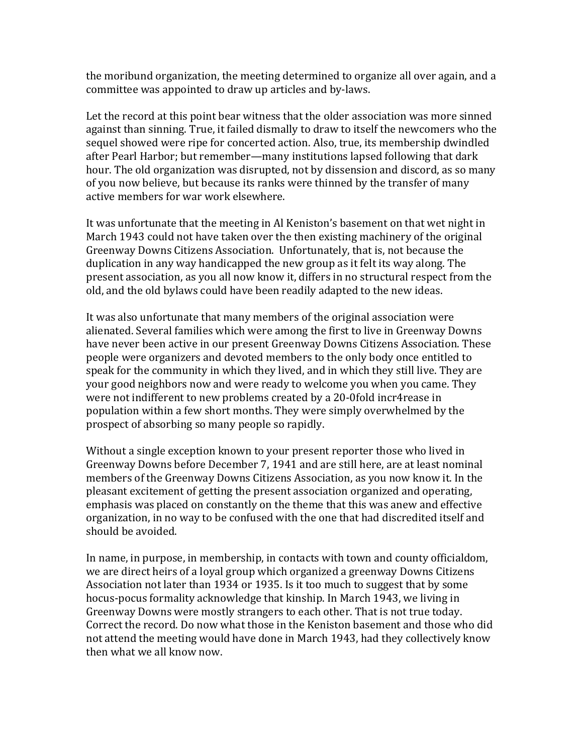the moribund organization, the meeting determined to organize all over again, and a committee was appointed to draw up articles and by-laws.

Let the record at this point bear witness that the older association was more sinned against than sinning. True, it failed dismally to draw to itself the newcomers who the sequel showed were ripe for concerted action. Also, true, its membership dwindled after Pearl Harbor; but remember—many institutions lapsed following that dark hour. The old organization was disrupted, not by dissension and discord, as so many of you now believe, but because its ranks were thinned by the transfer of many active members for war work elsewhere.

It was unfortunate that the meeting in Al Keniston's basement on that wet night in March 1943 could not have taken over the then existing machinery of the original Greenway Downs Citizens Association. Unfortunately, that is, not because the duplication in any way handicapped the new group as it felt its way along. The present association, as you all now know it, differs in no structural respect from the old, and the old bylaws could have been readily adapted to the new ideas.

It was also unfortunate that many members of the original association were alienated. Several families which were among the first to live in Greenway Downs have never been active in our present Greenway Downs Citizens Association. These people were organizers and devoted members to the only body once entitled to speak for the community in which they lived, and in which they still live. They are your good neighbors now and were ready to welcome you when you came. They were not indifferent to new problems created by a 20-0fold incr4rease in population within a few short months. They were simply overwhelmed by the prospect of absorbing so many people so rapidly.

Without a single exception known to your present reporter those who lived in Greenway Downs before December 7, 1941 and are still here, are at least nominal members of the Greenway Downs Citizens Association, as you now know it. In the pleasant excitement of getting the present association organized and operating, emphasis was placed on constantly on the theme that this was anew and effective organization, in no way to be confused with the one that had discredited itself and should be avoided.

In name, in purpose, in membership, in contacts with town and county officialdom, we are direct heirs of a loyal group which organized a greenway Downs Citizens Association not later than 1934 or 1935. Is it too much to suggest that by some hocus-pocus formality acknowledge that kinship. In March 1943, we living in Greenway Downs were mostly strangers to each other. That is not true today. Correct the record. Do now what those in the Keniston basement and those who did not attend the meeting would have done in March 1943, had they collectively know then what we all know now.